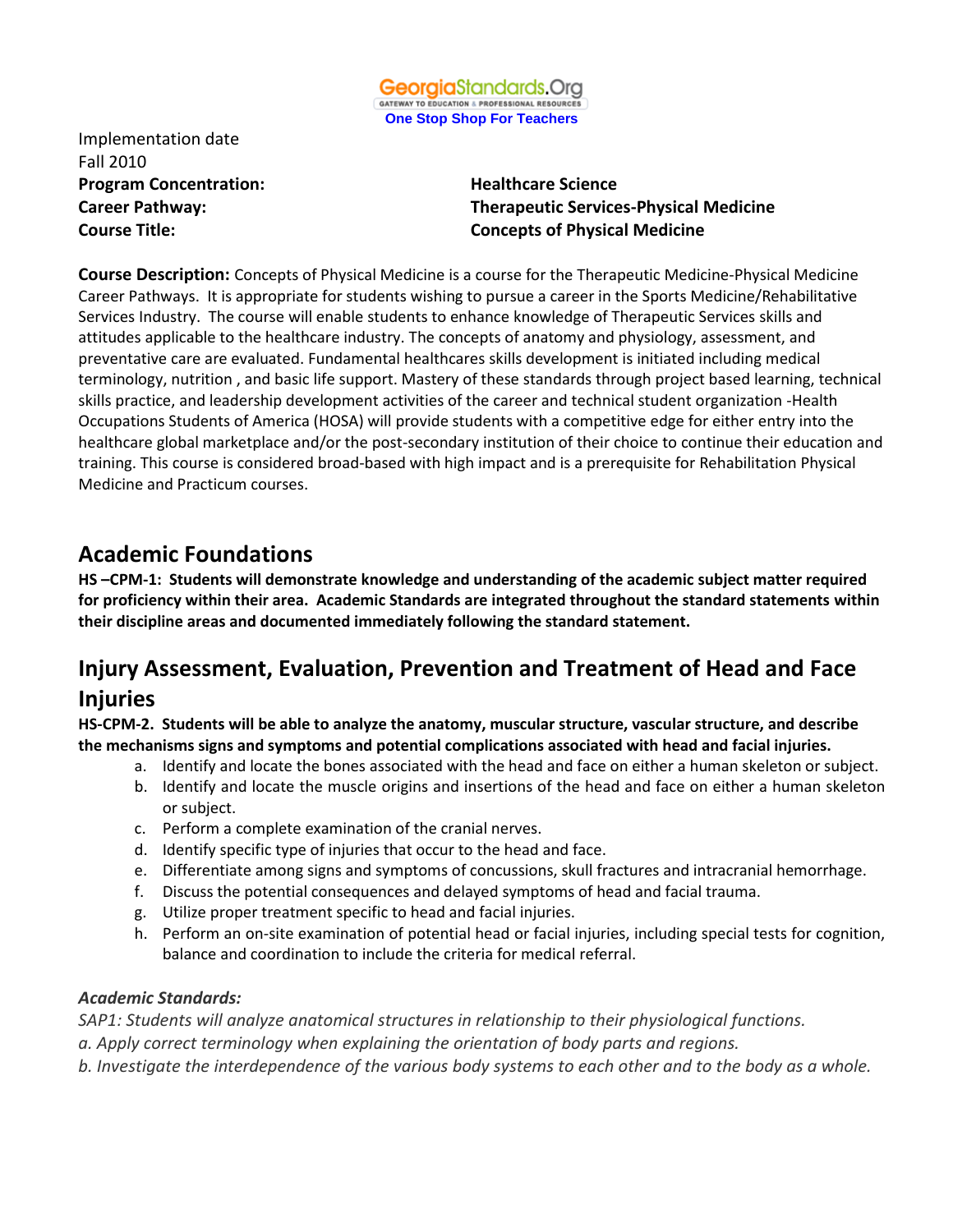

Implementation date Fall 2010 **Program Concentration:** Healthcare Science

**Career Pathway: Therapeutic Services-Physical Medicine Course Title: Concepts of Physical Medicine**

**Course Description:** Concepts of Physical Medicine is a course for the Therapeutic Medicine-Physical Medicine Career Pathways. It is appropriate for students wishing to pursue a career in the Sports Medicine/Rehabilitative Services Industry. The course will enable students to enhance knowledge of Therapeutic Services skills and attitudes applicable to the healthcare industry. The concepts of anatomy and physiology, assessment, and preventative care are evaluated. Fundamental healthcares skills development is initiated including medical terminology, nutrition , and basic life support. Mastery of these standards through project based learning, technical skills practice, and leadership development activities of the career and technical student organization -Health Occupations Students of America (HOSA) will provide students with a competitive edge for either entry into the healthcare global marketplace and/or the post-secondary institution of their choice to continue their education and training. This course is considered broad-based with high impact and is a prerequisite for Rehabilitation Physical Medicine and Practicum courses.

## **Academic Foundations**

**HS –CPM-1: Students will demonstrate knowledge and understanding of the academic subject matter required for proficiency within their area. Academic Standards are integrated throughout the standard statements within their discipline areas and documented immediately following the standard statement.**

# **Injury Assessment, Evaluation, Prevention and Treatment of Head and Face Injuries**

**HS-CPM-2. Students will be able to analyze the anatomy, muscular structure, vascular structure, and describe the mechanisms signs and symptoms and potential complications associated with head and facial injuries.** 

- a. Identify and locate the bones associated with the head and face on either a human skeleton or subject.
- b. Identify and locate the muscle origins and insertions of the head and face on either a human skeleton or subject.
- c. Perform a complete examination of the cranial nerves.
- d. Identify specific type of injuries that occur to the head and face.
- e. Differentiate among signs and symptoms of concussions, skull fractures and intracranial hemorrhage.
- f. Discuss the potential consequences and delayed symptoms of head and facial trauma.
- g. Utilize proper treatment specific to head and facial injuries.
- h. Perform an on-site examination of potential head or facial injuries, including special tests for cognition, balance and coordination to include the criteria for medical referral.

### *Academic Standards:*

*SAP1: Students will analyze anatomical structures in relationship to their physiological functions.*

- *a. Apply correct terminology when explaining the orientation of body parts and regions.*
- *b. Investigate the interdependence of the various body systems to each other and to the body as a whole.*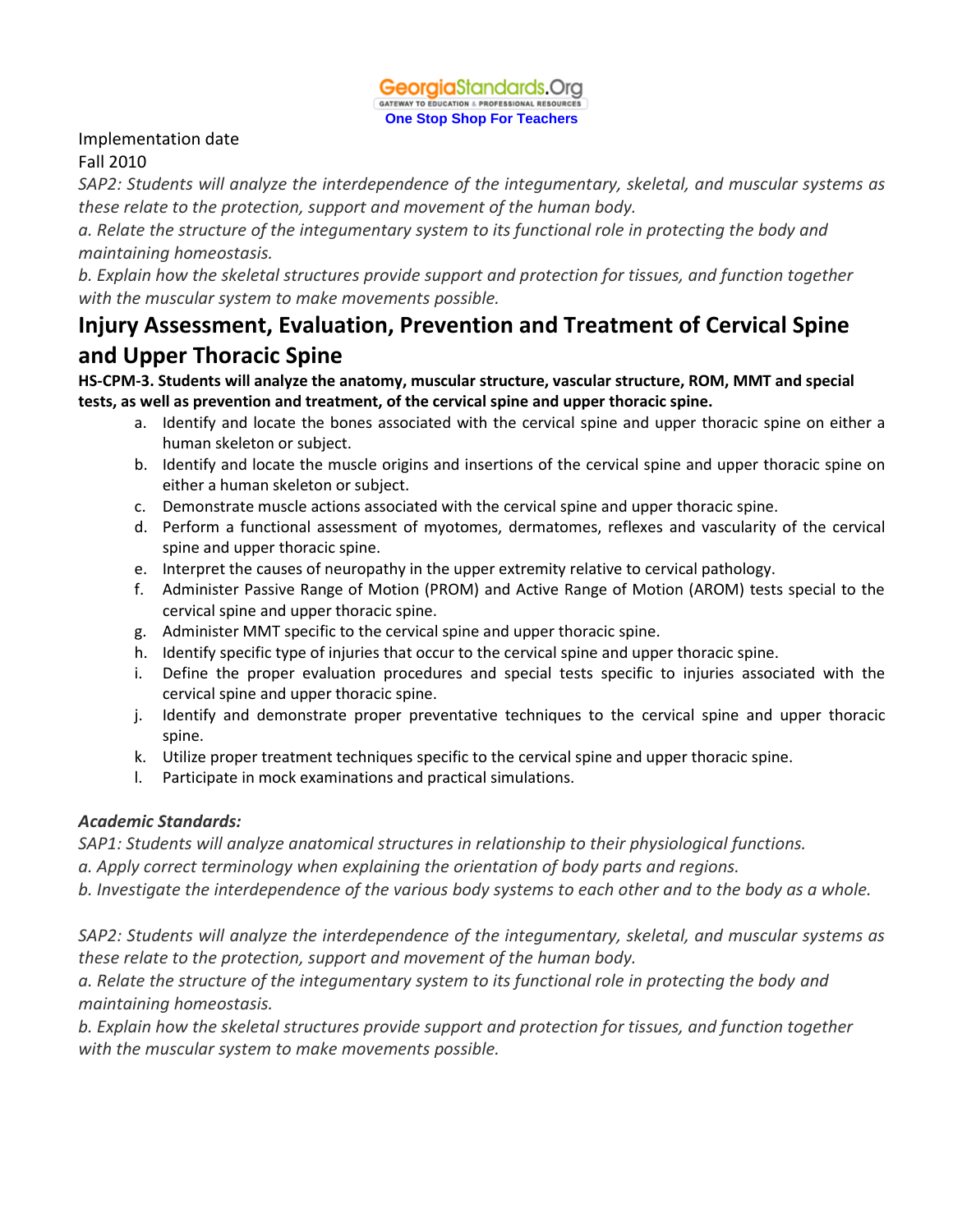

### Implementation date

### Fall 2010

*SAP2: Students will analyze the interdependence of the integumentary, skeletal, and muscular systems as these relate to the protection, support and movement of the human body.*

*a. Relate the structure of the integumentary system to its functional role in protecting the body and maintaining homeostasis.*

*b. Explain how the skeletal structures provide support and protection for tissues, and function together with the muscular system to make movements possible.*

# **Injury Assessment, Evaluation, Prevention and Treatment of Cervical Spine and Upper Thoracic Spine**

**HS-CPM-3. Students will analyze the anatomy, muscular structure, vascular structure, ROM, MMT and special tests, as well as prevention and treatment, of the cervical spine and upper thoracic spine.**

- a. Identify and locate the bones associated with the cervical spine and upper thoracic spine on either a human skeleton or subject.
- b. Identify and locate the muscle origins and insertions of the cervical spine and upper thoracic spine on either a human skeleton or subject.
- c. Demonstrate muscle actions associated with the cervical spine and upper thoracic spine.
- d. Perform a functional assessment of myotomes, dermatomes, reflexes and vascularity of the cervical spine and upper thoracic spine.
- e. Interpret the causes of neuropathy in the upper extremity relative to cervical pathology.
- f. Administer Passive Range of Motion (PROM) and Active Range of Motion (AROM) tests special to the cervical spine and upper thoracic spine.
- g. Administer MMT specific to the cervical spine and upper thoracic spine.
- h. Identify specific type of injuries that occur to the cervical spine and upper thoracic spine.
- i. Define the proper evaluation procedures and special tests specific to injuries associated with the cervical spine and upper thoracic spine.
- j. Identify and demonstrate proper preventative techniques to the cervical spine and upper thoracic spine.
- k. Utilize proper treatment techniques specific to the cervical spine and upper thoracic spine.
- l. Participate in mock examinations and practical simulations.

## *Academic Standards:*

*SAP1: Students will analyze anatomical structures in relationship to their physiological functions.*

*a. Apply correct terminology when explaining the orientation of body parts and regions.*

*b. Investigate the interdependence of the various body systems to each other and to the body as a whole.*

*SAP2: Students will analyze the interdependence of the integumentary, skeletal, and muscular systems as these relate to the protection, support and movement of the human body.*

*a. Relate the structure of the integumentary system to its functional role in protecting the body and maintaining homeostasis.*

*b. Explain how the skeletal structures provide support and protection for tissues, and function together with the muscular system to make movements possible.*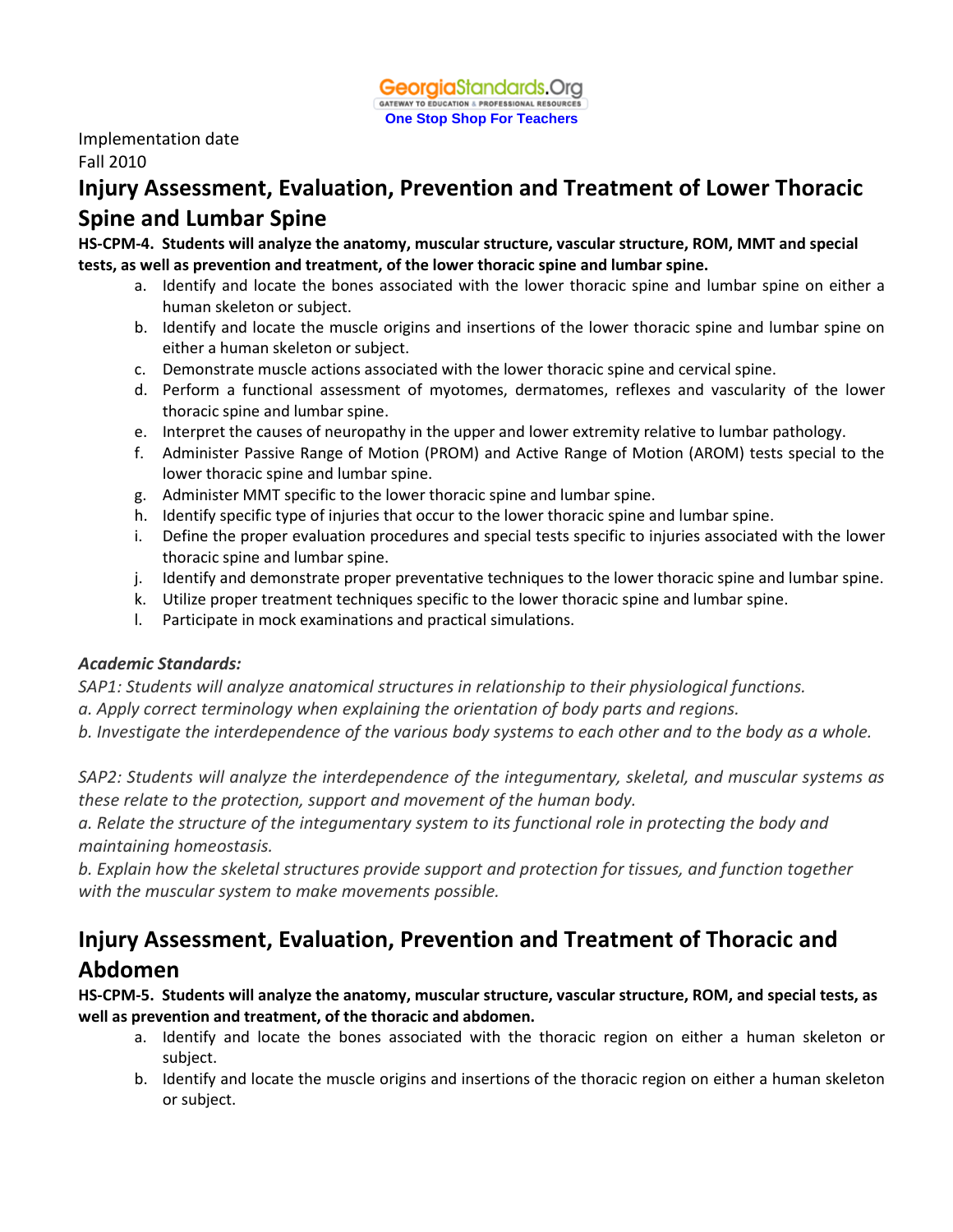

Implementation date Fall 2010

# **Injury Assessment, Evaluation, Prevention and Treatment of Lower Thoracic Spine and Lumbar Spine**

**HS-CPM-4. Students will analyze the anatomy, muscular structure, vascular structure, ROM, MMT and special tests, as well as prevention and treatment, of the lower thoracic spine and lumbar spine.**

- a. Identify and locate the bones associated with the lower thoracic spine and lumbar spine on either a human skeleton or subject.
- b. Identify and locate the muscle origins and insertions of the lower thoracic spine and lumbar spine on either a human skeleton or subject.
- c. Demonstrate muscle actions associated with the lower thoracic spine and cervical spine.
- d. Perform a functional assessment of myotomes, dermatomes, reflexes and vascularity of the lower thoracic spine and lumbar spine.
- e. Interpret the causes of neuropathy in the upper and lower extremity relative to lumbar pathology.
- f. Administer Passive Range of Motion (PROM) and Active Range of Motion (AROM) tests special to the lower thoracic spine and lumbar spine.
- g. Administer MMT specific to the lower thoracic spine and lumbar spine.
- h. Identify specific type of injuries that occur to the lower thoracic spine and lumbar spine.
- i. Define the proper evaluation procedures and special tests specific to injuries associated with the lower thoracic spine and lumbar spine.
- j. Identify and demonstrate proper preventative techniques to the lower thoracic spine and lumbar spine.
- k. Utilize proper treatment techniques specific to the lower thoracic spine and lumbar spine.
- l. Participate in mock examinations and practical simulations.

#### *Academic Standards:*

*SAP1: Students will analyze anatomical structures in relationship to their physiological functions.*

*a. Apply correct terminology when explaining the orientation of body parts and regions.*

*b. Investigate the interdependence of the various body systems to each other and to the body as a whole.*

*SAP2: Students will analyze the interdependence of the integumentary, skeletal, and muscular systems as these relate to the protection, support and movement of the human body.*

*a. Relate the structure of the integumentary system to its functional role in protecting the body and maintaining homeostasis.*

*b. Explain how the skeletal structures provide support and protection for tissues, and function together with the muscular system to make movements possible.*

# **Injury Assessment, Evaluation, Prevention and Treatment of Thoracic and Abdomen**

**HS-CPM-5. Students will analyze the anatomy, muscular structure, vascular structure, ROM, and special tests, as well as prevention and treatment, of the thoracic and abdomen.**

- a. Identify and locate the bones associated with the thoracic region on either a human skeleton or subject.
- b. Identify and locate the muscle origins and insertions of the thoracic region on either a human skeleton or subject.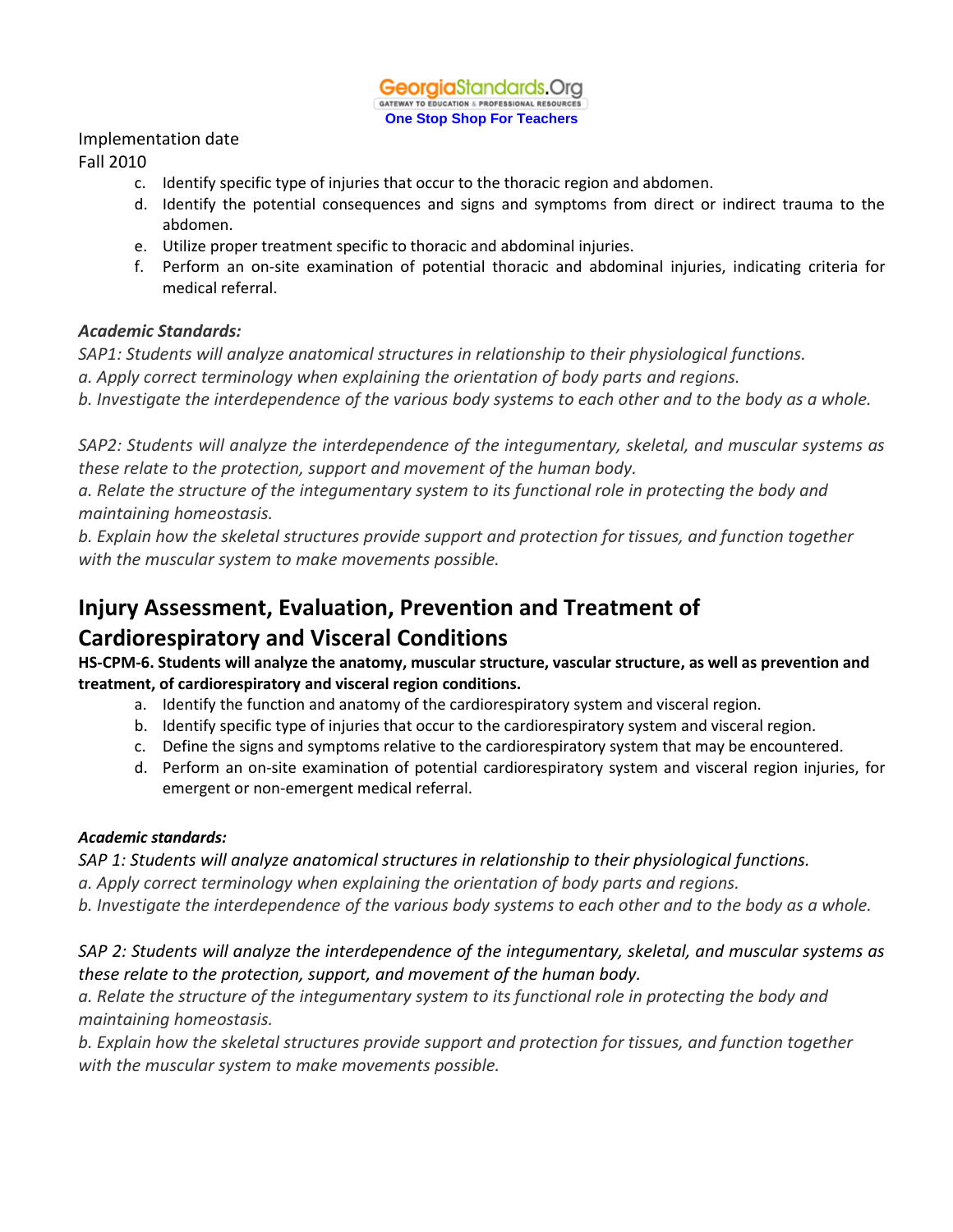#### Implementation date

#### Fall 2010

- c. Identify specific type of injuries that occur to the thoracic region and abdomen.
- d. Identify the potential consequences and signs and symptoms from direct or indirect trauma to the abdomen.
- e. Utilize proper treatment specific to thoracic and abdominal injuries.
- f. Perform an on-site examination of potential thoracic and abdominal injuries, indicating criteria for medical referral.

#### *Academic Standards:*

*SAP1: Students will analyze anatomical structures in relationship to their physiological functions.*

*a. Apply correct terminology when explaining the orientation of body parts and regions.*

*b. Investigate the interdependence of the various body systems to each other and to the body as a whole.*

*SAP2: Students will analyze the interdependence of the integumentary, skeletal, and muscular systems as these relate to the protection, support and movement of the human body.*

*a. Relate the structure of the integumentary system to its functional role in protecting the body and maintaining homeostasis.*

*b. Explain how the skeletal structures provide support and protection for tissues, and function together with the muscular system to make movements possible.*

# **Injury Assessment, Evaluation, Prevention and Treatment of Cardiorespiratory and Visceral Conditions**

**HS-CPM-6. Students will analyze the anatomy, muscular structure, vascular structure, as well as prevention and treatment, of cardiorespiratory and visceral region conditions.**

- a. Identify the function and anatomy of the cardiorespiratory system and visceral region.
- b. Identify specific type of injuries that occur to the cardiorespiratory system and visceral region.
- c. Define the signs and symptoms relative to the cardiorespiratory system that may be encountered.
- d. Perform an on-site examination of potential cardiorespiratory system and visceral region injuries, for emergent or non-emergent medical referral.

### *Academic standards:*

*SAP 1: Students will analyze anatomical structures in relationship to their physiological functions.*

*a. Apply correct terminology when explaining the orientation of body parts and regions.*

*b. Investigate the interdependence of the various body systems to each other and to the body as a whole.*

## *SAP 2: Students will analyze the interdependence of the integumentary, skeletal, and muscular systems as these relate to the protection, support, and movement of the human body.*

*a. Relate the structure of the integumentary system to its functional role in protecting the body and maintaining homeostasis.*

*b. Explain how the skeletal structures provide support and protection for tissues, and function together with the muscular system to make movements possible.*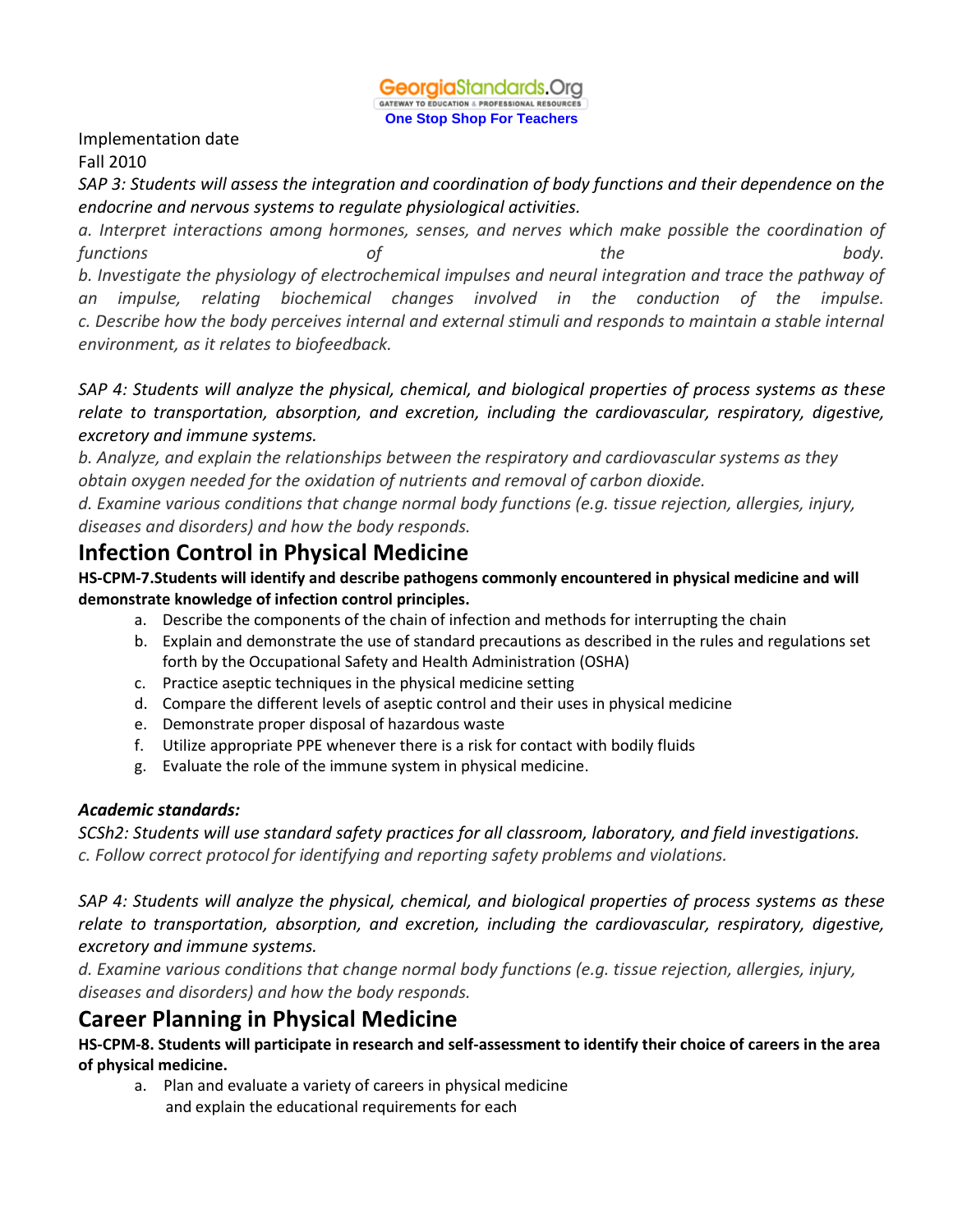

#### Implementation date

#### Fall 2010

*SAP 3: Students will assess the integration and coordination of body functions and their dependence on the endocrine and nervous systems to regulate physiological activities.*

*a. Interpret interactions among hormones, senses, and nerves which make possible the coordination of functions of the body. b. Investigate the physiology of electrochemical impulses and neural integration and trace the pathway of an impulse, relating biochemical changes involved in the conduction of the impulse. c. Describe how the body perceives internal and external stimuli and responds to maintain a stable internal environment, as it relates to biofeedback.*

*SAP 4: Students will analyze the physical, chemical, and biological properties of process systems as these relate to transportation, absorption, and excretion, including the cardiovascular, respiratory, digestive, excretory and immune systems.* 

*b. Analyze, and explain the relationships between the respiratory and cardiovascular systems as they obtain oxygen needed for the oxidation of nutrients and removal of carbon dioxide.*

*d. Examine various conditions that change normal body functions (e.g. tissue rejection, allergies, injury, diseases and disorders) and how the body responds.*

## **Infection Control in Physical Medicine**

**HS-CPM-7.Students will identify and describe pathogens commonly encountered in physical medicine and will demonstrate knowledge of infection control principles.**

- a. Describe the components of the chain of infection and methods for interrupting the chain
- b. Explain and demonstrate the use of standard precautions as described in the rules and regulations set forth by the Occupational Safety and Health Administration (OSHA)
- c. Practice aseptic techniques in the physical medicine setting
- d. Compare the different levels of aseptic control and their uses in physical medicine
- e. Demonstrate proper disposal of hazardous waste
- f. Utilize appropriate PPE whenever there is a risk for contact with bodily fluids
- g. Evaluate the role of the immune system in physical medicine.

#### *Academic standards:*

*SCSh2: Students will use standard safety practices for all classroom, laboratory, and field investigations. c. Follow correct protocol for identifying and reporting safety problems and violations.*

*SAP 4: Students will analyze the physical, chemical, and biological properties of process systems as these relate to transportation, absorption, and excretion, including the cardiovascular, respiratory, digestive, excretory and immune systems.* 

*d. Examine various conditions that change normal body functions (e.g. tissue rejection, allergies, injury, diseases and disorders) and how the body responds.*

## **Career Planning in Physical Medicine**

**HS-CPM-8. Students will participate in research and self-assessment to identify their choice of careers in the area of physical medicine.** 

a. Plan and evaluate a variety of careers in physical medicine and explain the educational requirements for each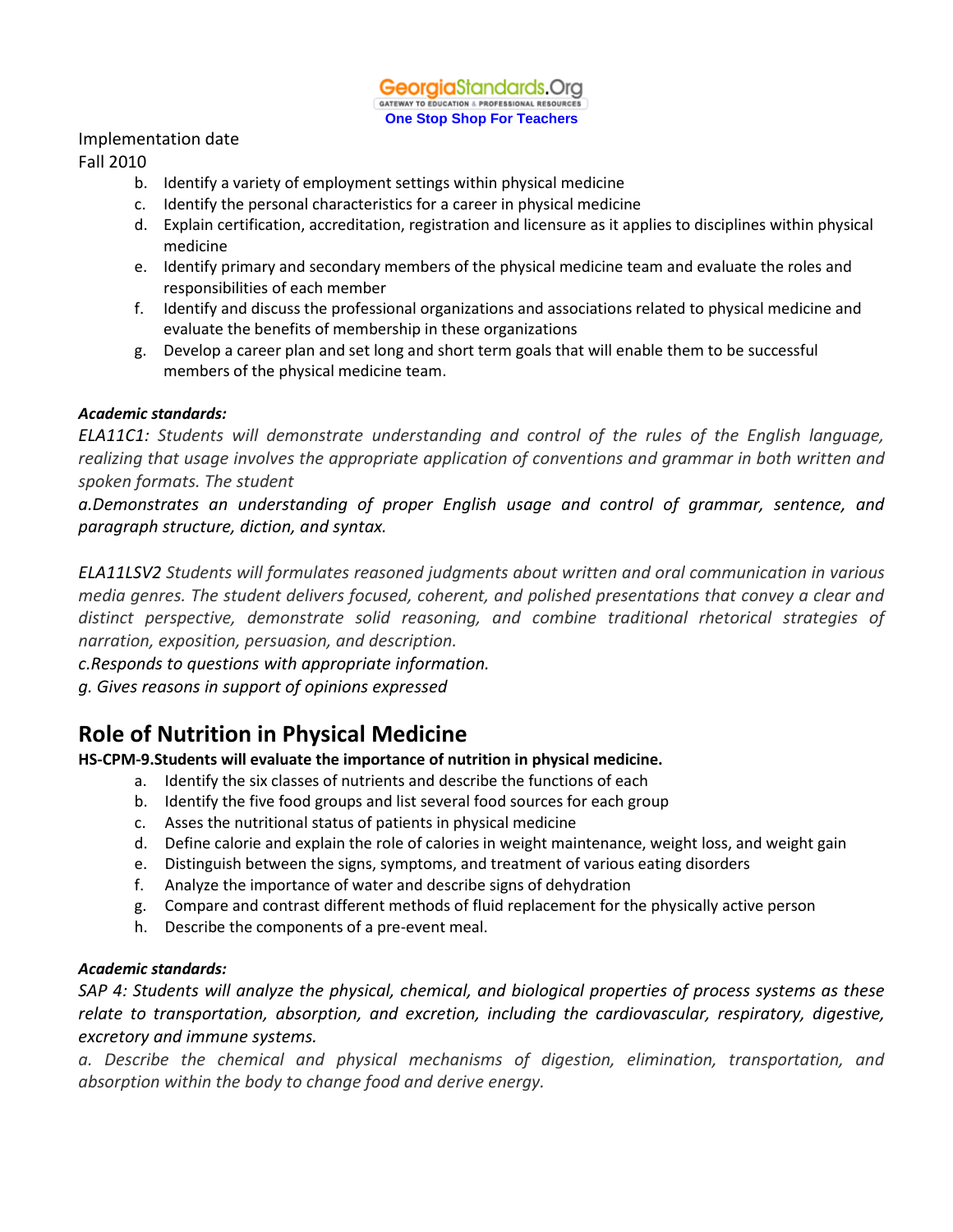#### Implementation date

#### Fall 2010

- b. Identify a variety of employment settings within physical medicine
- c. Identify the personal characteristics for a career in physical medicine
- d. Explain certification, accreditation, registration and licensure as it applies to disciplines within physical medicine
- e. Identify primary and secondary members of the physical medicine team and evaluate the roles and responsibilities of each member
- f. Identify and discuss the professional organizations and associations related to physical medicine and evaluate the benefits of membership in these organizations
- g. Develop a career plan and set long and short term goals that will enable them to be successful members of the physical medicine team.

#### *Academic standards:*

*ELA11C1: Students will demonstrate understanding and control of the rules of the English language, realizing that usage involves the appropriate application of conventions and grammar in both written and spoken formats. The student*

*a.Demonstrates an understanding of proper English usage and control of grammar, sentence, and paragraph structure, diction, and syntax.*

*ELA11LSV2 Students will formulates reasoned judgments about written and oral communication in various media genres. The student delivers focused, coherent, and polished presentations that convey a clear and distinct perspective, demonstrate solid reasoning, and combine traditional rhetorical strategies of narration, exposition, persuasion, and description.*

*c.Responds to questions with appropriate information.*

*g. Gives reasons in support of opinions expressed*

## **Role of Nutrition in Physical Medicine**

**HS-CPM-9.Students will evaluate the importance of nutrition in physical medicine.**

- a. Identify the six classes of nutrients and describe the functions of each
- b. Identify the five food groups and list several food sources for each group
- c. Asses the nutritional status of patients in physical medicine
- d. Define calorie and explain the role of calories in weight maintenance, weight loss, and weight gain
- e. Distinguish between the signs, symptoms, and treatment of various eating disorders
- f. Analyze the importance of water and describe signs of dehydration
- g. Compare and contrast different methods of fluid replacement for the physically active person
- h. Describe the components of a pre-event meal.

#### *Academic standards:*

*SAP 4: Students will analyze the physical, chemical, and biological properties of process systems as these relate to transportation, absorption, and excretion, including the cardiovascular, respiratory, digestive, excretory and immune systems.* 

*a. Describe the chemical and physical mechanisms of digestion, elimination, transportation, and absorption within the body to change food and derive energy.*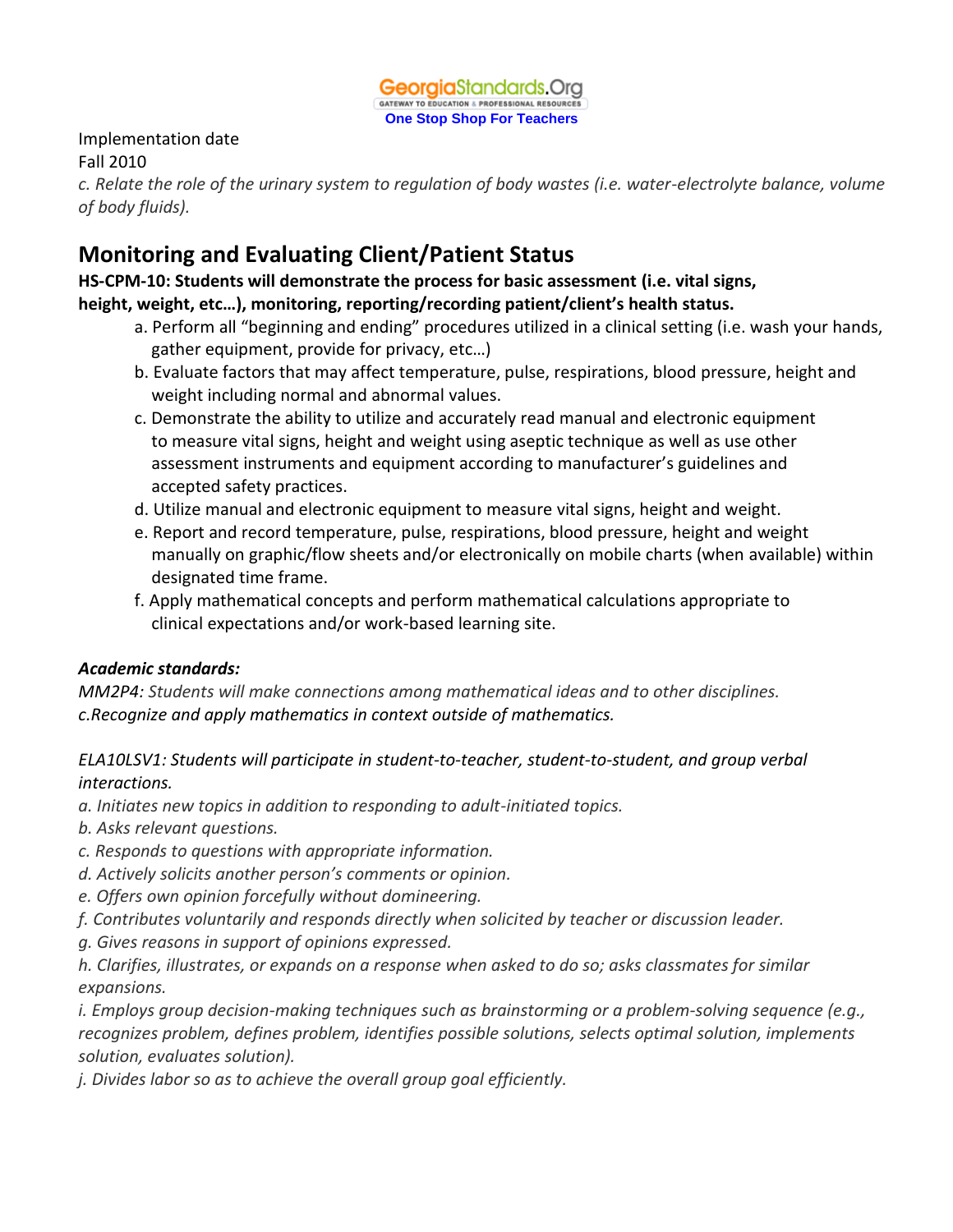

### Implementation date

### Fall 2010

*c. Relate the role of the urinary system to regulation of body wastes (i.e. water-electrolyte balance, volume of body fluids).*

# **Monitoring and Evaluating Client/Patient Status**

## **HS-CPM-10: Students will demonstrate the process for basic assessment (i.e. vital signs, height, weight, etc…), monitoring, reporting/recording patient/client's health status.**

- a. Perform all "beginning and ending" procedures utilized in a clinical setting (i.e. wash your hands, gather equipment, provide for privacy, etc…)
- b. Evaluate factors that may affect temperature, pulse, respirations, blood pressure, height and weight including normal and abnormal values.
- c. Demonstrate the ability to utilize and accurately read manual and electronic equipment to measure vital signs, height and weight using aseptic technique as well as use other assessment instruments and equipment according to manufacturer's guidelines and accepted safety practices.
- d. Utilize manual and electronic equipment to measure vital signs, height and weight.
- e. Report and record temperature, pulse, respirations, blood pressure, height and weight manually on graphic/flow sheets and/or electronically on mobile charts (when available) within designated time frame.
- f. Apply mathematical concepts and perform mathematical calculations appropriate to clinical expectations and/or work-based learning site.

### *Academic standards:*

*MM2P4: Students will make connections among mathematical ideas and to other disciplines. c.Recognize and apply mathematics in context outside of mathematics.* 

### *ELA10LSV1: Students will participate in student-to-teacher, student-to-student, and group verbal interactions.*

- *a. Initiates new topics in addition to responding to adult-initiated topics.*
- *b. Asks relevant questions.*
- *c. Responds to questions with appropriate information.*
- *d. Actively solicits another person's comments or opinion.*
- *e. Offers own opinion forcefully without domineering.*
- *f. Contributes voluntarily and responds directly when solicited by teacher or discussion leader.*
- *g. Gives reasons in support of opinions expressed.*

*h. Clarifies, illustrates, or expands on a response when asked to do so; asks classmates for similar expansions.* 

*i. Employs group decision-making techniques such as brainstorming or a problem-solving sequence (e.g., recognizes problem, defines problem, identifies possible solutions, selects optimal solution, implements solution, evaluates solution).*

*j. Divides labor so as to achieve the overall group goal efficiently.*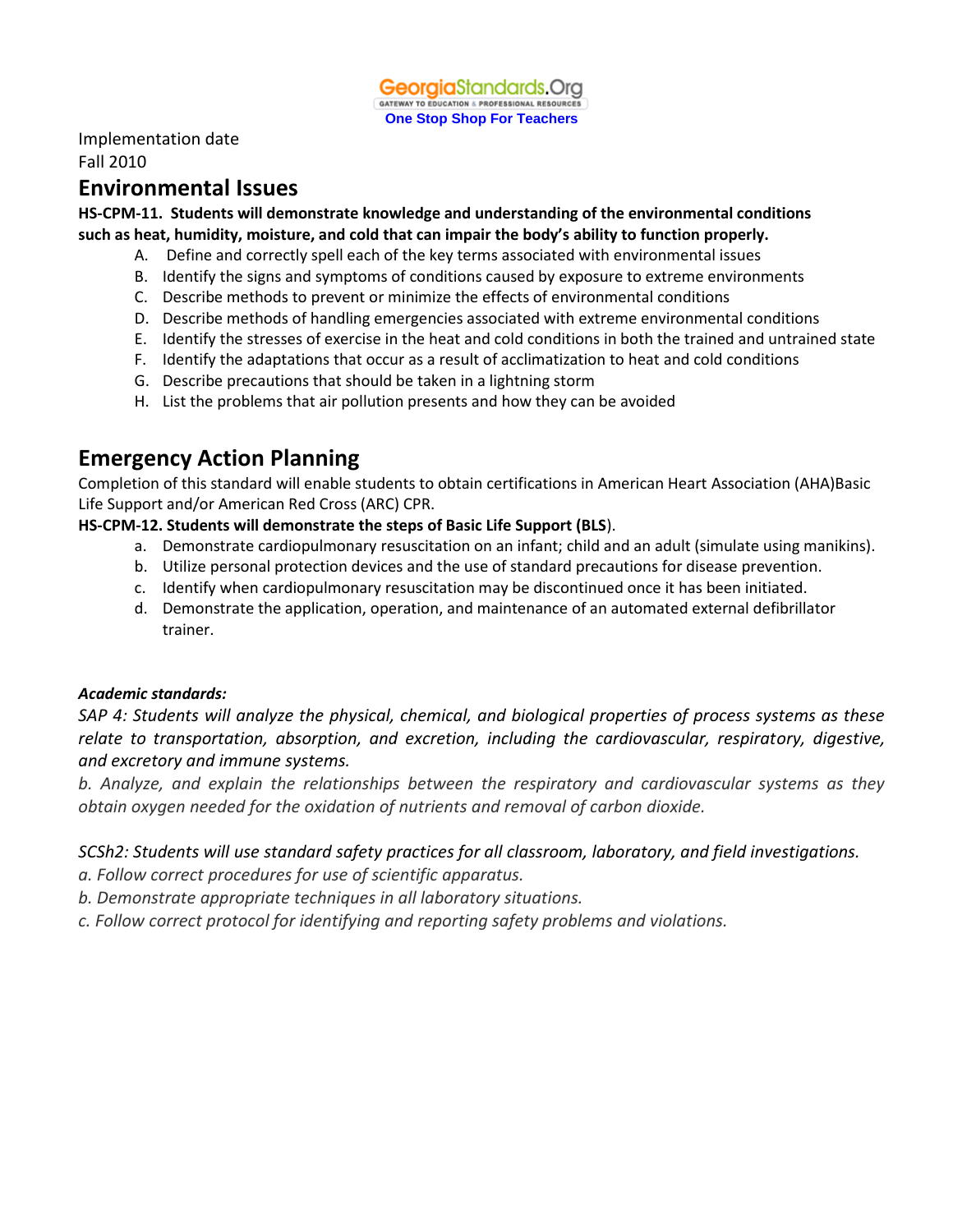Implementation date

Fall 2010

## **Environmental Issues**

**HS-CPM-11. Students will demonstrate knowledge and understanding of the environmental conditions such as heat, humidity, moisture, and cold that can impair the body's ability to function properly.**

- A. Define and correctly spell each of the key terms associated with environmental issues
- B. Identify the signs and symptoms of conditions caused by exposure to extreme environments
- C. Describe methods to prevent or minimize the effects of environmental conditions
- D. Describe methods of handling emergencies associated with extreme environmental conditions
- E. Identify the stresses of exercise in the heat and cold conditions in both the trained and untrained state
- F. Identify the adaptations that occur as a result of acclimatization to heat and cold conditions
- G. Describe precautions that should be taken in a lightning storm
- H. List the problems that air pollution presents and how they can be avoided

## **Emergency Action Planning**

Completion of this standard will enable students to obtain certifications in American Heart Association (AHA)Basic Life Support and/or American Red Cross (ARC) CPR.

#### **HS-CPM-12. Students will demonstrate the steps of Basic Life Support (BLS**).

- a. Demonstrate cardiopulmonary resuscitation on an infant; child and an adult (simulate using manikins).
- b. Utilize personal protection devices and the use of standard precautions for disease prevention.
- c. Identify when cardiopulmonary resuscitation may be discontinued once it has been initiated.
- d. Demonstrate the application, operation, and maintenance of an automated external defibrillator trainer.

#### *Academic standards:*

*SAP 4: Students will analyze the physical, chemical, and biological properties of process systems as these relate to transportation, absorption, and excretion, including the cardiovascular, respiratory, digestive, and excretory and immune systems.*

*b. Analyze, and explain the relationships between the respiratory and cardiovascular systems as they obtain oxygen needed for the oxidation of nutrients and removal of carbon dioxide.*

### *SCSh2: Students will use standard safety practices for all classroom, laboratory, and field investigations.*

- *a. Follow correct procedures for use of scientific apparatus.*
- *b. Demonstrate appropriate techniques in all laboratory situations.*
- *c. Follow correct protocol for identifying and reporting safety problems and violations.*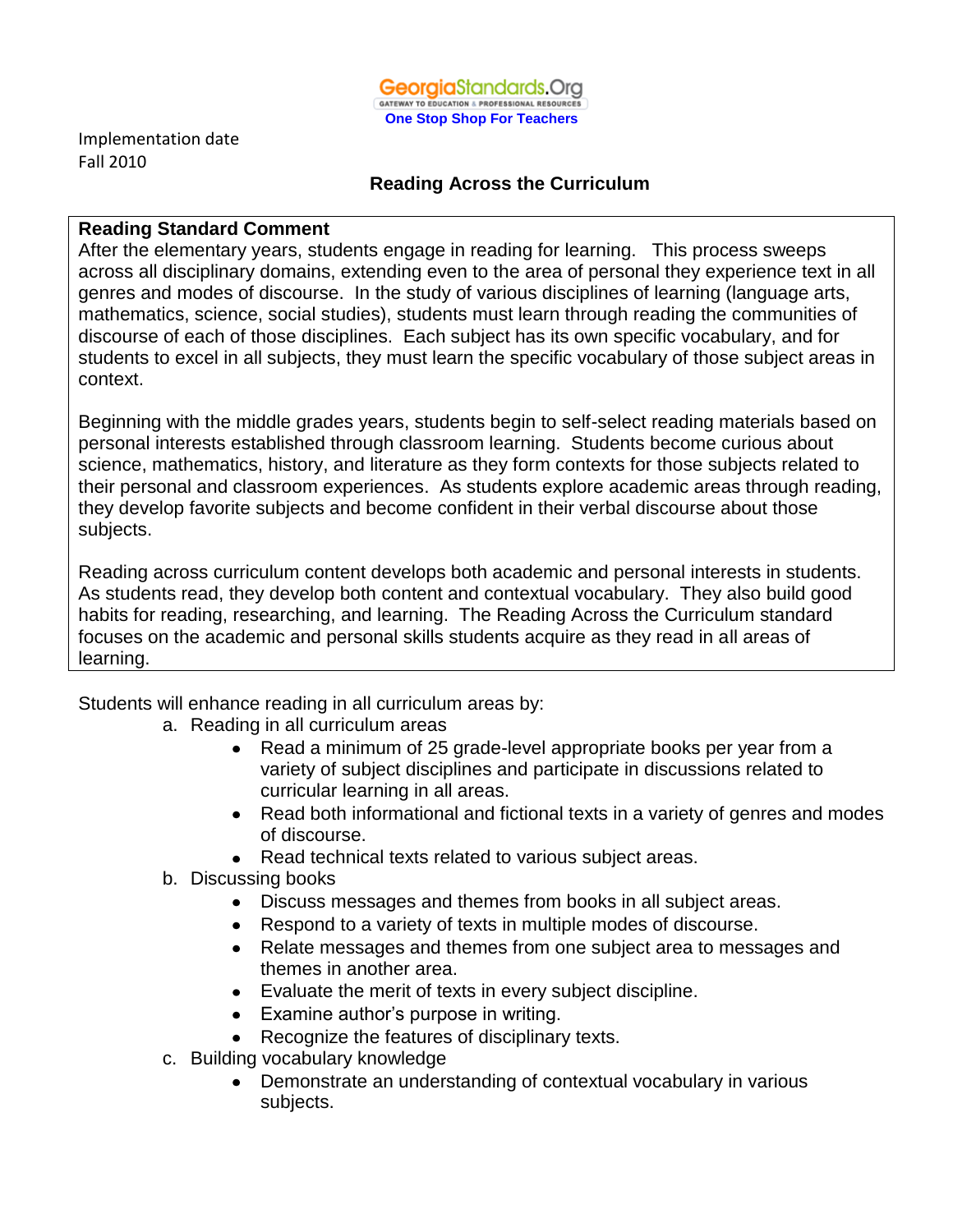

Implementation date Fall 2010

### **Reading Across the Curriculum**

### **Reading Standard Comment**

After the elementary years, students engage in reading for learning. This process sweeps across all disciplinary domains, extending even to the area of personal they experience text in all genres and modes of discourse. In the study of various disciplines of learning (language arts, mathematics, science, social studies), students must learn through reading the communities of discourse of each of those disciplines. Each subject has its own specific vocabulary, and for students to excel in all subjects, they must learn the specific vocabulary of those subject areas in context.

Beginning with the middle grades years, students begin to self-select reading materials based on personal interests established through classroom learning. Students become curious about science, mathematics, history, and literature as they form contexts for those subjects related to their personal and classroom experiences. As students explore academic areas through reading, they develop favorite subjects and become confident in their verbal discourse about those subjects.

Reading across curriculum content develops both academic and personal interests in students. As students read, they develop both content and contextual vocabulary. They also build good habits for reading, researching, and learning. The Reading Across the Curriculum standard focuses on the academic and personal skills students acquire as they read in all areas of learning.

Students will enhance reading in all curriculum areas by:

- a. Reading in all curriculum areas
	- Read a minimum of 25 grade-level appropriate books per year from a variety of subject disciplines and participate in discussions related to curricular learning in all areas.
	- Read both informational and fictional texts in a variety of genres and modes of discourse.
	- Read technical texts related to various subject areas.
- b. Discussing books
	- Discuss messages and themes from books in all subject areas.
	- Respond to a variety of texts in multiple modes of discourse.
	- Relate messages and themes from one subject area to messages and themes in another area.
	- Evaluate the merit of texts in every subject discipline.
	- Examine author's purpose in writing.
	- Recognize the features of disciplinary texts.
- c. Building vocabulary knowledge
	- Demonstrate an understanding of contextual vocabulary in various subjects.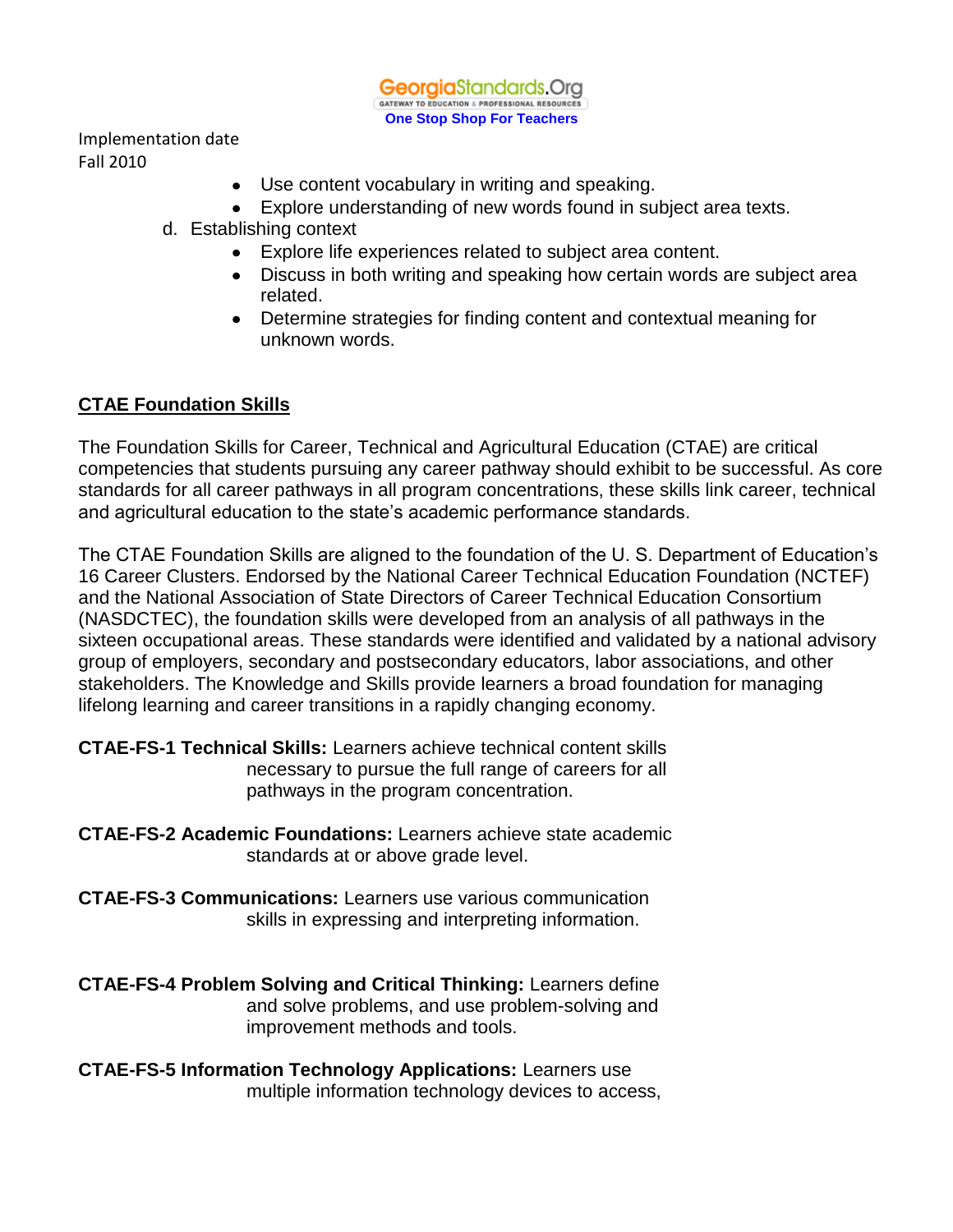Implementation date Fall 2010

- Use content vocabulary in writing and speaking.
- Explore understanding of new words found in subject area texts.
- d. Establishing context
	- Explore life experiences related to subject area content.
	- Discuss in both writing and speaking how certain words are subject area related.
	- Determine strategies for finding content and contextual meaning for unknown words.

## **CTAE Foundation Skills**

The Foundation Skills for Career, Technical and Agricultural Education (CTAE) are critical competencies that students pursuing any career pathway should exhibit to be successful. As core standards for all career pathways in all program concentrations, these skills link career, technical and agricultural education to the state's academic performance standards.

The CTAE Foundation Skills are aligned to the foundation of the U. S. Department of Education's 16 Career Clusters. Endorsed by the National Career Technical Education Foundation (NCTEF) and the National Association of State Directors of Career Technical Education Consortium (NASDCTEC), the foundation skills were developed from an analysis of all pathways in the sixteen occupational areas. These standards were identified and validated by a national advisory group of employers, secondary and postsecondary educators, labor associations, and other stakeholders. The Knowledge and Skills provide learners a broad foundation for managing lifelong learning and career transitions in a rapidly changing economy.

**CTAE-FS-1 Technical Skills:** Learners achieve technical content skills necessary to pursue the full range of careers for all pathways in the program concentration.

**CTAE-FS-2 Academic Foundations:** Learners achieve state academic standards at or above grade level.

**CTAE-FS-3 Communications:** Learners use various communication skills in expressing and interpreting information.

**CTAE-FS-4 Problem Solving and Critical Thinking:** Learners define and solve problems, and use problem-solving and improvement methods and tools.

**CTAE-FS-5 Information Technology Applications:** Learners use multiple information technology devices to access,